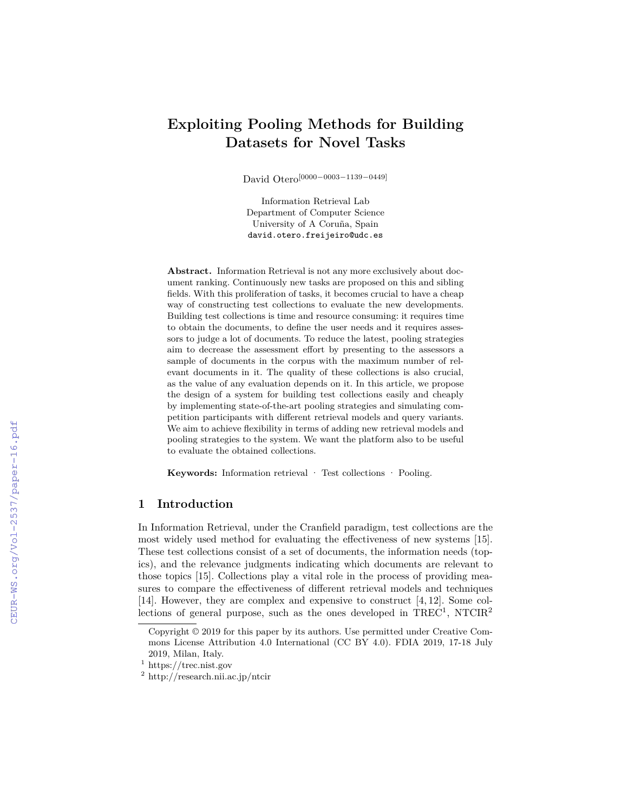# **Exploiting Pooling Methods for Building Datasets for Novel Tasks**

David Otero[0000*−*0003*−*1139*−*0449]

Information Retrieval Lab Department of Computer Science University of A Coruña, Spain david.otero.freijeiro@udc.es

**Abstract.** Information Retrieval is not any more exclusively about document ranking. Continuously new tasks are proposed on this and sibling fields. With this proliferation of tasks, it becomes crucial to have a cheap way of constructing test collections to evaluate the new developments. Building test collections is time and resource consuming: it requires time to obtain the documents, to define the user needs and it requires assessors to judge a lot of documents. To reduce the latest, pooling strategies aim to decrease the assessment effort by presenting to the assessors a sample of documents in the corpus with the maximum number of relevant documents in it. The quality of these collections is also crucial, as the value of any evaluation depends on it. In this article, we propose the design of a system for building test collections easily and cheaply by implementing state-of-the-art pooling strategies and simulating competition participants with different retrieval models and query variants. We aim to achieve flexibility in terms of adding new retrieval models and pooling strategies to the system. We want the platform also to be useful to evaluate the obtained collections.

**Keywords:** Information retrieval · Test collections · Pooling.

# **1 Introduction**

In Information Retrieval, under the Cranfield paradigm, test collections are the most widely used method for evaluating the effectiveness of new systems [15]. These test collections consist of a set of documents, the information needs (topics), and the relevance judgments indicating which documents are relevant to those topics [15]. Collections play a vital role in the process of providing measures to compare the effectiveness of different retrieval models and techniques [14]. However, they are complex and expensive to construct [4, 12]. Some collections of general purpose, such as the ones developed in  $TREC^1$ ,  $NTCIR^2$ 

Copyright © 2019 for this paper by its authors. Use permitted under Creative Commons License Attribution 4.0 International (CC BY 4.0). FDIA 2019, 17-18 July 2019, Milan, Italy.

 $^{\rm 1}$ https://trec.nist.gov

<sup>2</sup> http://research.nii.ac.jp/ntcir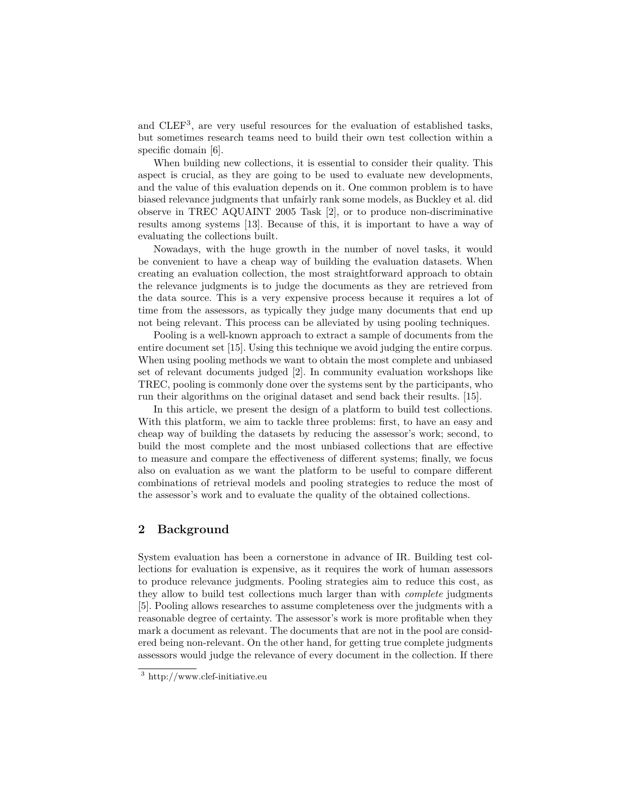and CLEF<sup>3</sup> , are very useful resources for the evaluation of established tasks, but sometimes research teams need to build their own test collection within a specific domain [6].

When building new collections, it is essential to consider their quality. This aspect is crucial, as they are going to be used to evaluate new developments, and the value of this evaluation depends on it. One common problem is to have biased relevance judgments that unfairly rank some models, as Buckley et al. did observe in TREC AQUAINT 2005 Task [2], or to produce non-discriminative results among systems [13]. Because of this, it is important to have a way of evaluating the collections built.

Nowadays, with the huge growth in the number of novel tasks, it would be convenient to have a cheap way of building the evaluation datasets. When creating an evaluation collection, the most straightforward approach to obtain the relevance judgments is to judge the documents as they are retrieved from the data source. This is a very expensive process because it requires a lot of time from the assessors, as typically they judge many documents that end up not being relevant. This process can be alleviated by using pooling techniques.

Pooling is a well-known approach to extract a sample of documents from the entire document set [15]. Using this technique we avoid judging the entire corpus. When using pooling methods we want to obtain the most complete and unbiased set of relevant documents judged [2]. In community evaluation workshops like TREC, pooling is commonly done over the systems sent by the participants, who run their algorithms on the original dataset and send back their results. [15].

In this article, we present the design of a platform to build test collections. With this platform, we aim to tackle three problems: first, to have an easy and cheap way of building the datasets by reducing the assessor's work; second, to build the most complete and the most unbiased collections that are effective to measure and compare the effectiveness of different systems; finally, we focus also on evaluation as we want the platform to be useful to compare different combinations of retrieval models and pooling strategies to reduce the most of the assessor's work and to evaluate the quality of the obtained collections.

# **2 Background**

System evaluation has been a cornerstone in advance of IR. Building test collections for evaluation is expensive, as it requires the work of human assessors to produce relevance judgments. Pooling strategies aim to reduce this cost, as they allow to build test collections much larger than with *complete* judgments [5]. Pooling allows researches to assume completeness over the judgments with a reasonable degree of certainty. The assessor's work is more profitable when they mark a document as relevant. The documents that are not in the pool are considered being non-relevant. On the other hand, for getting true complete judgments assessors would judge the relevance of every document in the collection. If there

<sup>3</sup> http://www.clef-initiative.eu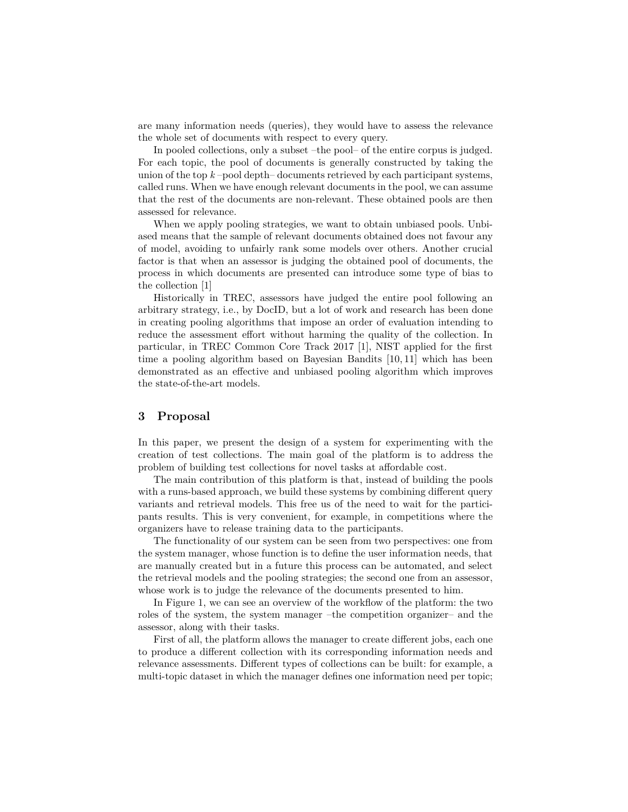are many information needs (queries), they would have to assess the relevance the whole set of documents with respect to every query.

In pooled collections, only a subset –the pool– of the entire corpus is judged. For each topic, the pool of documents is generally constructed by taking the union of the top  $k$  –pool depth– documents retrieved by each participant systems, called runs. When we have enough relevant documents in the pool, we can assume that the rest of the documents are non-relevant. These obtained pools are then assessed for relevance.

When we apply pooling strategies, we want to obtain unbiased pools. Unbiased means that the sample of relevant documents obtained does not favour any of model, avoiding to unfairly rank some models over others. Another crucial factor is that when an assessor is judging the obtained pool of documents, the process in which documents are presented can introduce some type of bias to the collection [1]

Historically in TREC, assessors have judged the entire pool following an arbitrary strategy, i.e., by DocID, but a lot of work and research has been done in creating pooling algorithms that impose an order of evaluation intending to reduce the assessment effort without harming the quality of the collection. In particular, in TREC Common Core Track 2017 [1], NIST applied for the first time a pooling algorithm based on Bayesian Bandits [10, 11] which has been demonstrated as an effective and unbiased pooling algorithm which improves the state-of-the-art models.

### **3 Proposal**

In this paper, we present the design of a system for experimenting with the creation of test collections. The main goal of the platform is to address the problem of building test collections for novel tasks at affordable cost.

The main contribution of this platform is that, instead of building the pools with a runs-based approach, we build these systems by combining different query variants and retrieval models. This free us of the need to wait for the participants results. This is very convenient, for example, in competitions where the organizers have to release training data to the participants.

The functionality of our system can be seen from two perspectives: one from the system manager, whose function is to define the user information needs, that are manually created but in a future this process can be automated, and select the retrieval models and the pooling strategies; the second one from an assessor, whose work is to judge the relevance of the documents presented to him.

In Figure 1, we can see an overview of the workflow of the platform: the two roles of the system, the system manager –the competition organizer– and the assessor, along with their tasks.

First of all, the platform allows the manager to create different jobs, each one to produce a different collection with its corresponding information needs and relevance assessments. Different types of collections can be built: for example, a multi-topic dataset in which the manager defines one information need per topic;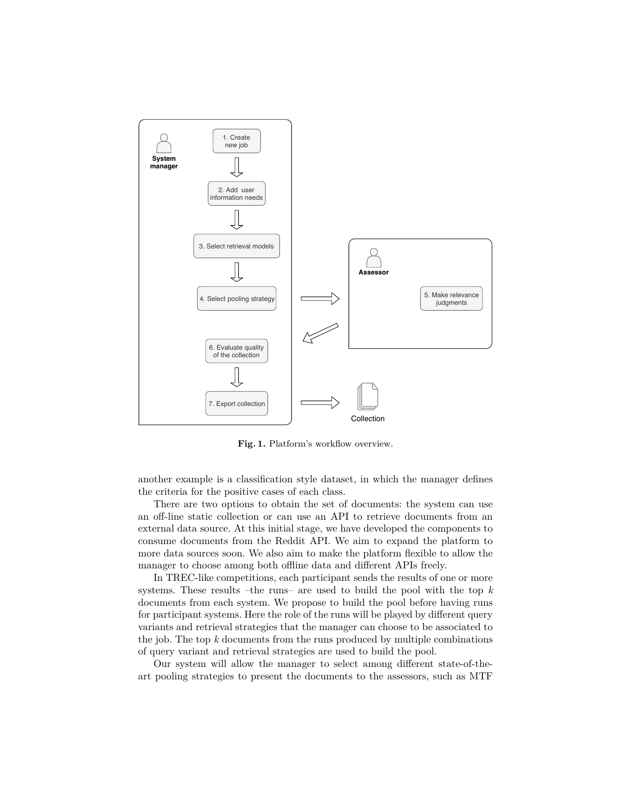

**Fig. 1.** Platform's workflow overview.

another example is a classification style dataset, in which the manager defines the criteria for the positive cases of each class.

There are two options to obtain the set of documents: the system can use an off-line static collection or can use an API to retrieve documents from an external data source. At this initial stage, we have developed the components to consume documents from the Reddit API. We aim to expand the platform to more data sources soon. We also aim to make the platform flexible to allow the manager to choose among both offline data and different APIs freely.

In TREC-like competitions, each participant sends the results of one or more systems. These results –the runs– are used to build the pool with the top *k* documents from each system. We propose to build the pool before having runs for participant systems. Here the role of the runs will be played by different query variants and retrieval strategies that the manager can choose to be associated to the job. The top *k* documents from the runs produced by multiple combinations of query variant and retrieval strategies are used to build the pool.

Our system will allow the manager to select among different state-of-theart pooling strategies to present the documents to the assessors, such as MTF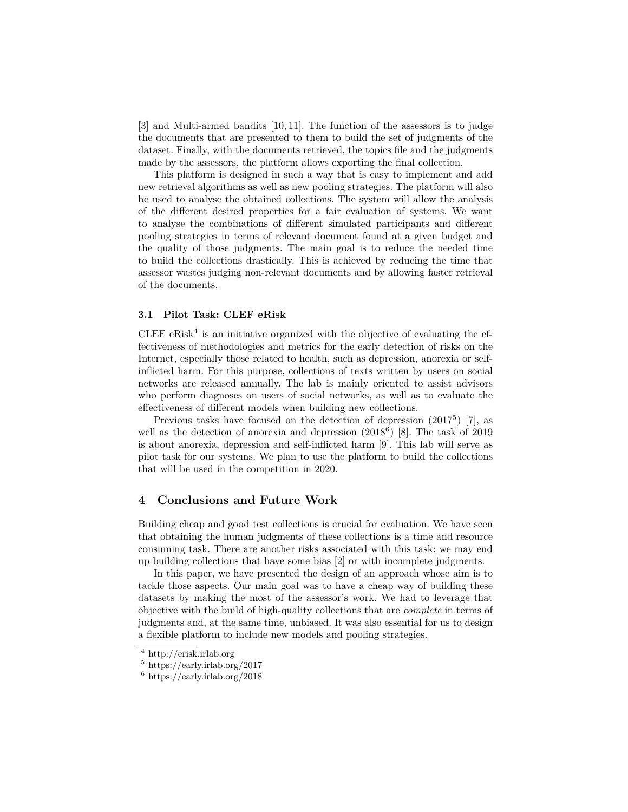[3] and Multi-armed bandits [10, 11]. The function of the assessors is to judge the documents that are presented to them to build the set of judgments of the dataset. Finally, with the documents retrieved, the topics file and the judgments made by the assessors, the platform allows exporting the final collection.

This platform is designed in such a way that is easy to implement and add new retrieval algorithms as well as new pooling strategies. The platform will also be used to analyse the obtained collections. The system will allow the analysis of the different desired properties for a fair evaluation of systems. We want to analyse the combinations of different simulated participants and different pooling strategies in terms of relevant document found at a given budget and the quality of those judgments. The main goal is to reduce the needed time to build the collections drastically. This is achieved by reducing the time that assessor wastes judging non-relevant documents and by allowing faster retrieval of the documents.

#### **3.1 Pilot Task: CLEF eRisk**

CLEF  $eRisk<sup>4</sup>$  is an initiative organized with the objective of evaluating the effectiveness of methodologies and metrics for the early detection of risks on the Internet, especially those related to health, such as depression, anorexia or selfinflicted harm. For this purpose, collections of texts written by users on social networks are released annually. The lab is mainly oriented to assist advisors who perform diagnoses on users of social networks, as well as to evaluate the effectiveness of different models when building new collections.

Previous tasks have focused on the detection of depression  $(2017^5)$  [7], as well as the detection of anorexia and depression  $(2018^6)$  [8]. The task of 2019 is about anorexia, depression and self-inflicted harm [9]. This lab will serve as pilot task for our systems. We plan to use the platform to build the collections that will be used in the competition in 2020.

#### **4 Conclusions and Future Work**

Building cheap and good test collections is crucial for evaluation. We have seen that obtaining the human judgments of these collections is a time and resource consuming task. There are another risks associated with this task: we may end up building collections that have some bias [2] or with incomplete judgments.

In this paper, we have presented the design of an approach whose aim is to tackle those aspects. Our main goal was to have a cheap way of building these datasets by making the most of the assessor's work. We had to leverage that objective with the build of high-quality collections that are *complete* in terms of judgments and, at the same time, unbiased. It was also essential for us to design a flexible platform to include new models and pooling strategies.

<sup>4</sup> http://erisk.irlab.org

<sup>5</sup> https://early.irlab.org/2017

 $6 \text{ https://early.irlab.org/2018}$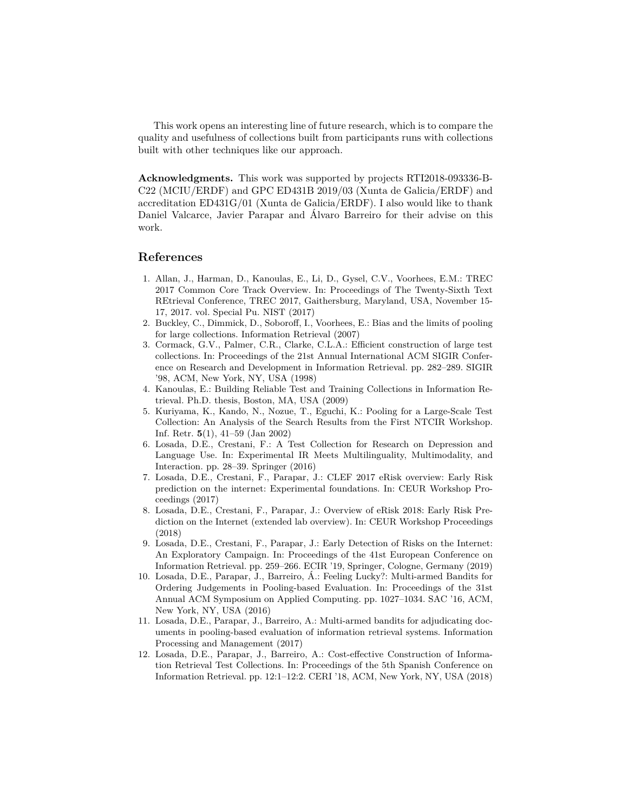This work opens an interesting line of future research, which is to compare the quality and usefulness of collections built from participants runs with collections built with other techniques like our approach.

**Acknowledgments.** This work was supported by projects RTI2018-093336-B-C22 (MCIU/ERDF) and GPC ED431B 2019/03 (Xunta de Galicia/ERDF) and accreditation ED431G/01 (Xunta de Galicia/ERDF). I also would like to thank Daniel Valcarce, Javier Parapar and Álvaro Barreiro for their advise on this work.

#### **References**

- 1. Allan, J., Harman, D., Kanoulas, E., Li, D., Gysel, C.V., Voorhees, E.M.: TREC 2017 Common Core Track Overview. In: Proceedings of The Twenty-Sixth Text REtrieval Conference, TREC 2017, Gaithersburg, Maryland, USA, November 15- 17, 2017. vol. Special Pu. NIST (2017)
- 2. Buckley, C., Dimmick, D., Soboroff, I., Voorhees, E.: Bias and the limits of pooling for large collections. Information Retrieval (2007)
- 3. Cormack, G.V., Palmer, C.R., Clarke, C.L.A.: Efficient construction of large test collections. In: Proceedings of the 21st Annual International ACM SIGIR Conference on Research and Development in Information Retrieval. pp. 282–289. SIGIR '98, ACM, New York, NY, USA (1998)
- 4. Kanoulas, E.: Building Reliable Test and Training Collections in Information Retrieval. Ph.D. thesis, Boston, MA, USA (2009)
- 5. Kuriyama, K., Kando, N., Nozue, T., Eguchi, K.: Pooling for a Large-Scale Test Collection: An Analysis of the Search Results from the First NTCIR Workshop. Inf. Retr. **5**(1), 41–59 (Jan 2002)
- 6. Losada, D.E., Crestani, F.: A Test Collection for Research on Depression and Language Use. In: Experimental IR Meets Multilinguality, Multimodality, and Interaction. pp. 28–39. Springer (2016)
- 7. Losada, D.E., Crestani, F., Parapar, J.: CLEF 2017 eRisk overview: Early Risk prediction on the internet: Experimental foundations. In: CEUR Workshop Proceedings (2017)
- 8. Losada, D.E., Crestani, F., Parapar, J.: Overview of eRisk 2018: Early Risk Prediction on the Internet (extended lab overview). In: CEUR Workshop Proceedings (2018)
- 9. Losada, D.E., Crestani, F., Parapar, J.: Early Detection of Risks on the Internet: An Exploratory Campaign. In: Proceedings of the 41st European Conference on Information Retrieval. pp. 259–266. ECIR '19, Springer, Cologne, Germany (2019)
- 10. Losada, D.E., Parapar, J., Barreiro, Á.: Feeling Lucky?: Multi-armed Bandits for Ordering Judgements in Pooling-based Evaluation. In: Proceedings of the 31st Annual ACM Symposium on Applied Computing. pp. 1027–1034. SAC '16, ACM, New York, NY, USA (2016)
- 11. Losada, D.E., Parapar, J., Barreiro, A.: Multi-armed bandits for adjudicating documents in pooling-based evaluation of information retrieval systems. Information Processing and Management (2017)
- 12. Losada, D.E., Parapar, J., Barreiro, A.: Cost-effective Construction of Information Retrieval Test Collections. In: Proceedings of the 5th Spanish Conference on Information Retrieval. pp. 12:1–12:2. CERI '18, ACM, New York, NY, USA (2018)